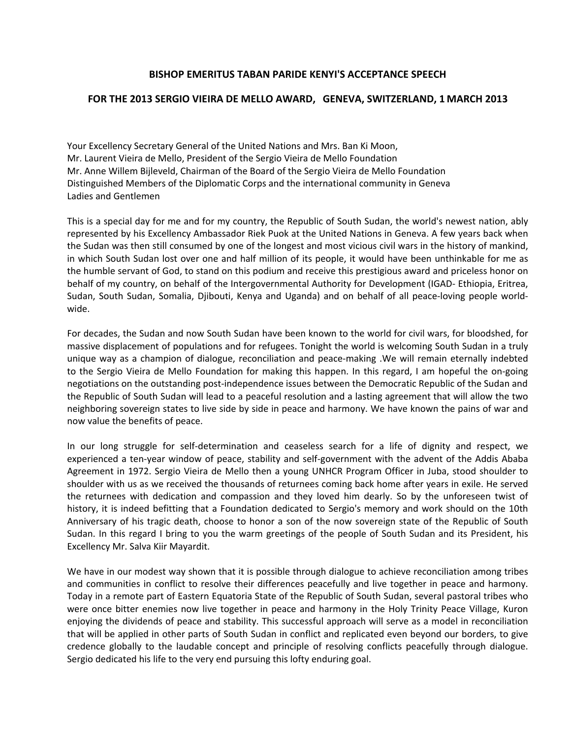## **BISHOP EMERITUS TABAN PARIDE KENYI'S ACCEPTANCE SPEECH**

## **FOR THE 2013 SERGIO VIEIRA DE MELLO AWARD, GENEVA, SWITZERLAND, 1 MARCH 2013**

Your Excellency Secretary General of the United Nations and Mrs. Ban Ki Moon, Mr. Laurent Vieira de Mello, President of the Sergio Vieira de Mello Foundation Mr. Anne Willem Bijleveld, Chairman of the Board of the Sergio Vieira de Mello Foundation Distinguished Members of the Diplomatic Corps and the international community in Geneva Ladies and Gentlemen

This is a special day for me and for my country, the Republic of South Sudan, the world's newest nation, ably represented by his Excellency Ambassador Riek Puok at the United Nations in Geneva. A few years back when the Sudan was then still consumed by one of the longest and most vicious civil wars in the history of mankind, in which South Sudan lost over one and half million of its people, it would have been unthinkable for me as the humble servant of God, to stand on this podium and receive this prestigious award and priceless honor on behalf of my country, on behalf of the Intergovernmental Authority for Development (IGAD- Ethiopia, Eritrea, Sudan, South Sudan, Somalia, Djibouti, Kenya and Uganda) and on behalf of all peace-loving people worldwide.

For decades, the Sudan and now South Sudan have been known to the world for civil wars, for bloodshed, for massive displacement of populations and for refugees. Tonight the world is welcoming South Sudan in a truly unique way as a champion of dialogue, reconciliation and peace-making .We will remain eternally indebted to the Sergio Vieira de Mello Foundation for making this happen. In this regard, I am hopeful the on-going negotiations on the outstanding post-independence issues between the Democratic Republic of the Sudan and the Republic of South Sudan will lead to a peaceful resolution and a lasting agreement that will allow the two neighboring sovereign states to live side by side in peace and harmony. We have known the pains of war and now value the benefits of peace.

In our long struggle for self-determination and ceaseless search for a life of dignity and respect, we experienced a ten-year window of peace, stability and self-government with the advent of the Addis Ababa Agreement in 1972. Sergio Vieira de Mello then a young UNHCR Program Officer in Juba, stood shoulder to shoulder with us as we received the thousands of returnees coming back home after years in exile. He served the returnees with dedication and compassion and they loved him dearly. So by the unforeseen twist of history, it is indeed befitting that a Foundation dedicated to Sergio's memory and work should on the 10th Anniversary of his tragic death, choose to honor a son of the now sovereign state of the Republic of South Sudan. In this regard I bring to you the warm greetings of the people of South Sudan and its President, his Excellency Mr. Salva Kiir Mayardit.

We have in our modest way shown that it is possible through dialogue to achieve reconciliation among tribes and communities in conflict to resolve their differences peacefully and live together in peace and harmony. Today in a remote part of Eastern Equatoria State of the Republic of South Sudan, several pastoral tribes who were once bitter enemies now live together in peace and harmony in the Holy Trinity Peace Village, Kuron enjoying the dividends of peace and stability. This successful approach will serve as a model in reconciliation that will be applied in other parts of South Sudan in conflict and replicated even beyond our borders, to give credence globally to the laudable concept and principle of resolving conflicts peacefully through dialogue. Sergio dedicated his life to the very end pursuing this lofty enduring goal.